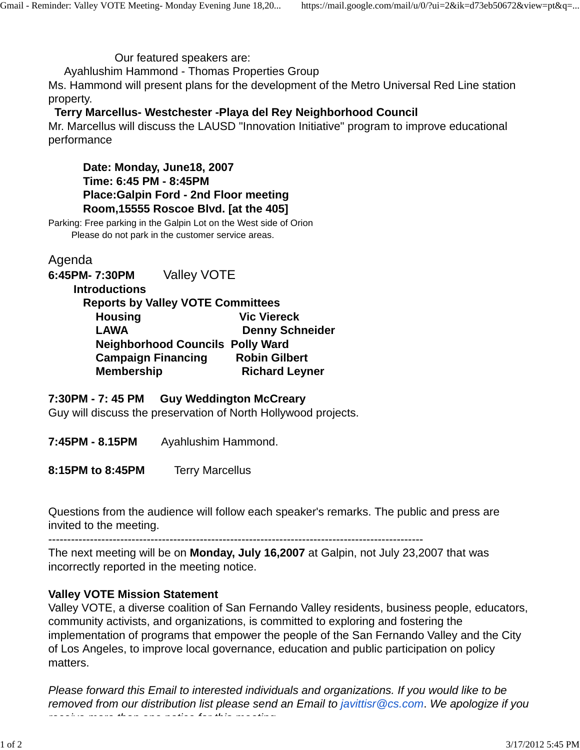Our featured speakers are:

Ayahlushim Hammond - Thomas Properties Group

Ms. Hammond will present plans for the development of the Metro Universal Red Line station property.

## **Terry Marcellus- Westchester -Playa del Rey Neighborhood Council**

Mr. Marcellus will discuss the LAUSD "Innovation Initiative" program to improve educational performance

 **Date: Monday, June18, 2007 Time: 6:45 PM - 8:45PM Place:Galpin Ford - 2nd Floor meeting Room,15555 Roscoe Blvd. [at the 405]**

Parking: Free parking in the Galpin Lot on the West side of Orion Please do not park in the customer service areas.

Agenda

**6:45PM- 7:30PM** Valley VOTE

 **Introductions**

| <b>Reports by Valley VOTE Committees</b> |                        |
|------------------------------------------|------------------------|
| <b>Housing</b>                           | <b>Vic Viereck</b>     |
| <b>LAWA</b>                              | <b>Denny Schneider</b> |
| <b>Neighborhood Councils Polly Ward</b>  |                        |
| <b>Campaign Financing</b>                | <b>Robin Gilbert</b>   |
| <b>Membership</b>                        | <b>Richard Leyner</b>  |
|                                          |                        |

## **7:30PM - 7: 45 PM Guy Weddington McCreary**

Guy will discuss the preservation of North Hollywood projects.

**7:45PM - 8.15PM** Ayahlushim Hammond.

**8:15PM to 8:45PM** Terry Marcellus

Questions from the audience will follow each speaker's remarks. The public and press are invited to the meeting.

---------------------------------------------------------------------------------------------------

The next meeting will be on **Monday, July 16,2007** at Galpin, not July 23,2007 that was incorrectly reported in the meeting notice.

## **Valley VOTE Mission Statement**

Valley VOTE, a diverse coalition of San Fernando Valley residents, business people, educators, community activists, and organizations, is committed to exploring and fostering the implementation of programs that empower the people of the San Fernando Valley and the City of Los Angeles, to improve local governance, education and public participation on policy matters.

*Please forward this Email to interested individuals and organizations. If you would like to be removed from our distribution list please send an Email to javittisr@cs.com*. *We apologize if you receive more than one notice for this meeting*